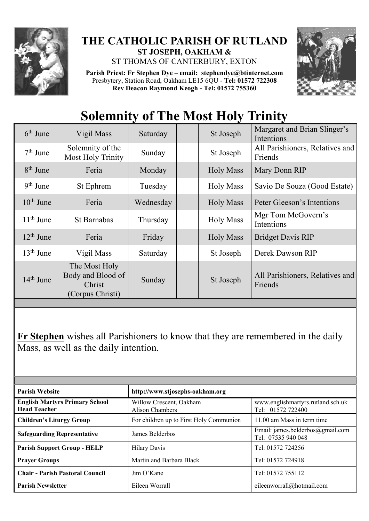

## **THE CATHOLIC PARISH OF RUTLAND ST JOSEPH, OAKHAM &**

ST THOMAS OF CANTERBURY, EXTON

**Parish Priest: Fr Stephen Dye** – **[email: stephendye@btinternet.com](mailto:email:%20%20stephendye@btinternet.com)** Presbytery, Station Road, Oakham LE15 6QU - **Tel: 01572 722308 Rev Deacon Raymond Keogh - Tel: 01572 755360**



## **Solemnity of The Most Holy Trinity**

| $6th$ June  | Vigil Mass                                                       | Saturday  | St Joseph        | Margaret and Brian Slinger's<br>Intentions |
|-------------|------------------------------------------------------------------|-----------|------------------|--------------------------------------------|
| $7th$ June  | Solemnity of the<br><b>Most Holy Trinity</b>                     | Sunday    | St Joseph        | All Parishioners, Relatives and<br>Friends |
| $8th$ June  | Feria                                                            | Monday    | <b>Holy Mass</b> | Mary Donn RIP                              |
| $9th$ June  | St Ephrem                                                        | Tuesday   | <b>Holy Mass</b> | Savio De Souza (Good Estate)               |
| $10th$ June | Feria                                                            | Wednesday | <b>Holy Mass</b> | Peter Gleeson's Intentions                 |
| $11th$ June | <b>St Barnabas</b>                                               | Thursday  | <b>Holy Mass</b> | Mgr Tom McGovern's<br>Intentions           |
| $12th$ June | Feria                                                            | Friday    | <b>Holy Mass</b> | <b>Bridget Davis RIP</b>                   |
| $13th$ June | Vigil Mass                                                       | Saturday  | St Joseph        | Derek Dawson RIP                           |
| $14th$ June | The Most Holy<br>Body and Blood of<br>Christ<br>(Corpus Christi) | Sunday    | St Joseph        | All Parishioners, Relatives and<br>Friends |

**Fr Stephen** wishes all Parishioners to know that they are remembered in the daily Mass, as well as the daily intention.

| <b>Parish Website</b>                                        | http://www.stjosephs-oakham.org            |                                                        |  |  |  |  |
|--------------------------------------------------------------|--------------------------------------------|--------------------------------------------------------|--|--|--|--|
| <b>English Martyrs Primary School</b><br><b>Head Teacher</b> | Willow Crescent, Oakham<br>Alison Chambers | www.englishmartyrs.rutland.sch.uk<br>Tel: 01572 722400 |  |  |  |  |
| <b>Children's Liturgy Group</b>                              | For children up to First Holy Communion    | 11.00 am Mass in term time                             |  |  |  |  |
| <b>Safeguarding Representative</b>                           | James Belderbos                            | Email: james.belderbos@gmail.com<br>Tel: 07535 940 048 |  |  |  |  |
| <b>Parish Support Group - HELP</b>                           | <b>Hilary Davis</b>                        | Tel: 01572 724256                                      |  |  |  |  |
| <b>Prayer Groups</b>                                         | Martin and Barbara Black                   | Tel: 01572 724918                                      |  |  |  |  |
| <b>Chair - Parish Pastoral Council</b>                       | $\lim$ O'Kane                              | Tel: 01572 755112                                      |  |  |  |  |
| <b>Parish Newsletter</b>                                     | Eileen Worrall                             | eileenworrall@hotmail.com                              |  |  |  |  |